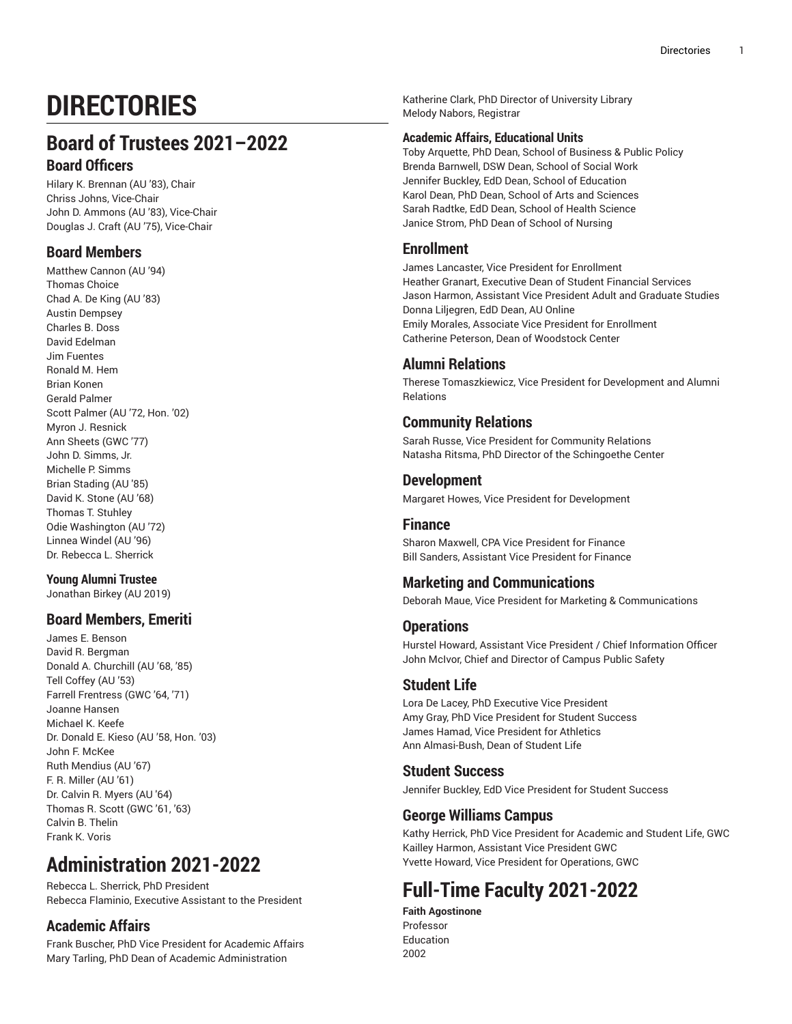# **DIRECTORIES**

# **Board of Trustees 2021–2022 Board Officers**

Hilary K. Brennan (AU '83), Chair Chriss Johns, Vice-Chair John D. Ammons (AU '83), Vice-Chair Douglas J. Craft (AU '75), Vice-Chair

# **Board Members**

Matthew Cannon (AU '94) Thomas Choice Chad A. De King (AU '83) Austin Dempsey Charles B. Doss David Edelman Jim Fuentes Ronald M. Hem Brian Konen Gerald Palmer Scott Palmer (AU '72, Hon. '02) Myron J. Resnick Ann Sheets (GWC '77) John D. Simms, Jr. Michelle P. Simms Brian Stading (AU '85) David K. Stone (AU '68) Thomas T. Stuhley Odie Washington (AU '72) Linnea Windel (AU '96) Dr. Rebecca L. Sherrick

# **Young Alumni Trustee**

Jonathan Birkey (AU 2019)

# **Board Members, Emeriti**

James E. Benson David R. Bergman Donald A. Churchill (AU '68, '85) Tell Coffey (AU '53) Farrell Frentress (GWC '64, '71) Joanne Hansen Michael K. Keefe Dr. Donald E. Kieso (AU '58, Hon. '03) John F. McKee Ruth Mendius (AU '67) F. R. Miller (AU '61) Dr. Calvin R. Myers (AU '64) Thomas R. Scott (GWC '61, '63) Calvin B. Thelin Frank K. Voris

# **Administration 2021-2022**

Rebecca L. Sherrick, PhD President Rebecca Flaminio, Executive Assistant to the President

# **Academic Affairs**

Frank Buscher, PhD Vice President for Academic Affairs Mary Tarling, PhD Dean of Academic Administration

Katherine Clark, PhD Director of University Library Melody Nabors, Registrar

# **Academic Affairs, Educational Units**

Toby Arquette, PhD Dean, School of Business & Public Policy Brenda Barnwell, DSW Dean, School of Social Work Jennifer Buckley, EdD Dean, School of Education Karol Dean, PhD Dean, School of Arts and Sciences Sarah Radtke, EdD Dean, School of Health Science Janice Strom, PhD Dean of School of Nursing

# **Enrollment**

James Lancaster, Vice President for Enrollment Heather Granart, Executive Dean of Student Financial Services Jason Harmon, Assistant Vice President Adult and Graduate Studies Donna Liljegren, EdD Dean, AU Online Emily Morales, Associate Vice President for Enrollment Catherine Peterson, Dean of Woodstock Center

# **Alumni Relations**

Therese Tomaszkiewicz, Vice President for Development and Alumni Relations

# **Community Relations**

Sarah Russe, Vice President for Community Relations Natasha Ritsma, PhD Director of the Schingoethe Center

# **Development**

Margaret Howes, Vice President for Development

# **Finance**

Sharon Maxwell, CPA Vice President for Finance Bill Sanders, Assistant Vice President for Finance

# **Marketing and Communications**

Deborah Maue, Vice President for Marketing & Communications

# **Operations**

Hurstel Howard, Assistant Vice President / Chief Information Officer John McIvor, Chief and Director of Campus Public Safety

# **Student Life**

Lora De Lacey, PhD Executive Vice President Amy Gray, PhD Vice President for Student Success James Hamad, Vice President for Athletics Ann Almasi-Bush, Dean of Student Life

# **Student Success**

Jennifer Buckley, EdD Vice President for Student Success

# **George Williams Campus**

Kathy Herrick, PhD Vice President for Academic and Student Life, GWC Kailley Harmon, Assistant Vice President GWC Yvette Howard, Vice President for Operations, GWC

# **Full-Time Faculty 2021-2022**

**Faith Agostinone** Professor Education 2002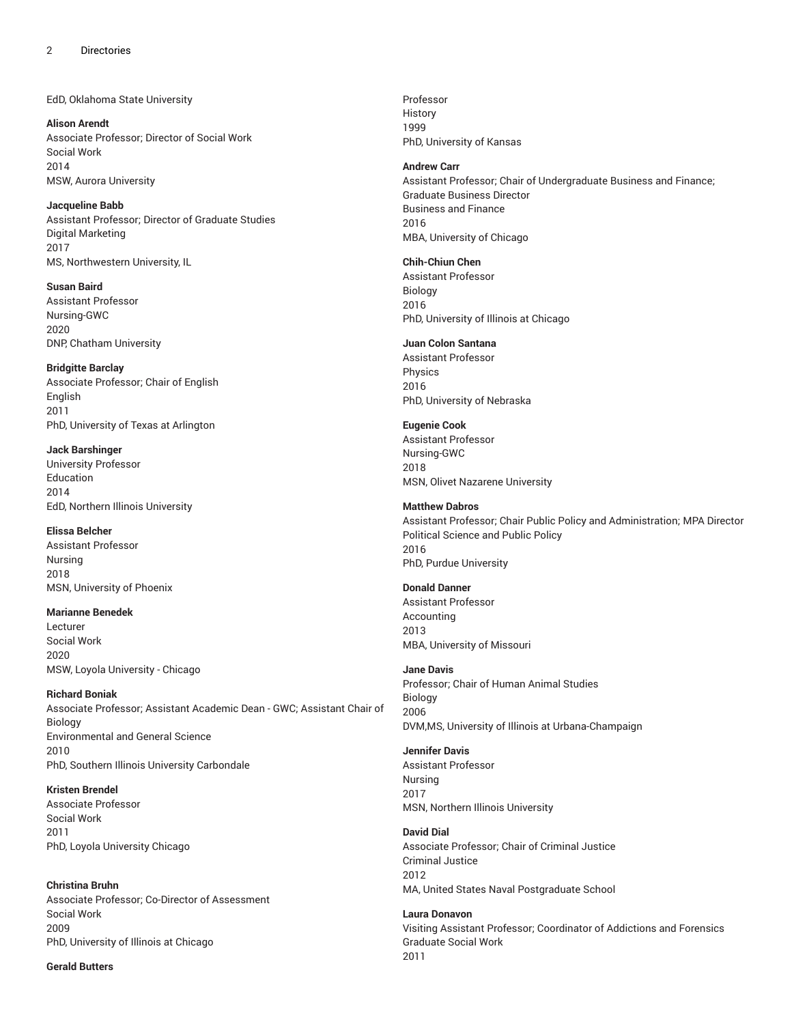EdD, Oklahoma State University

**Alison Arendt** Associate Professor; Director of Social Work Social Work 2014 MSW, Aurora University

**Jacqueline Babb** Assistant Professor; Director of Graduate Studies Digital Marketing 2017 MS, Northwestern University, IL

**Susan Baird** Assistant Professor Nursing-GWC 2020 DNP, Chatham University

**Bridgitte Barclay** Associate Professor; Chair of English English 2011 PhD, University of Texas at Arlington

**Jack Barshinger** University Professor Education 2014 EdD, Northern Illinois University

**Elissa Belcher** Assistant Professor Nursing 2018 MSN, University of Phoenix

**Marianne Benedek** Lecturer Social Work 2020 MSW, Loyola University - Chicago

**Richard Boniak** Associate Professor; Assistant Academic Dean - GWC; Assistant Chair of Biology Environmental and General Science 2010 PhD, Southern Illinois University Carbondale

**Kristen Brendel** Associate Professor Social Work 2011 PhD, Loyola University Chicago

**Christina Bruhn** Associate Professor; Co-Director of Assessment Social Work 2009 PhD, University of Illinois at Chicago

**Gerald Butters**

Professor History 1999 PhD, University of Kansas

#### **Andrew Carr**

Assistant Professor; Chair of Undergraduate Business and Finance; Graduate Business Director Business and Finance 2016 MBA, University of Chicago

#### **Chih-Chiun Chen**

Assistant Professor Biology 2016 PhD, University of Illinois at Chicago

# **Juan Colon Santana**

Assistant Professor Physics 2016 PhD, University of Nebraska

#### **Eugenie Cook**

Assistant Professor Nursing-GWC 2018 MSN, Olivet Nazarene University

### **Matthew Dabros**

Assistant Professor; Chair Public Policy and Administration; MPA Director Political Science and Public Policy 2016 PhD, Purdue University

# **Donald Danner**

Assistant Professor Accounting 2013 MBA, University of Missouri

#### **Jane Davis**

Professor; Chair of Human Animal Studies Biology 2006 DVM,MS, University of Illinois at Urbana-Champaign

#### **Jennifer Davis**

Assistant Professor Nursing 2017 MSN, Northern Illinois University

#### **David Dial**

Associate Professor; Chair of Criminal Justice Criminal Justice 2012 MA, United States Naval Postgraduate School

**Laura Donavon** Visiting Assistant Professor; Coordinator of Addictions and Forensics Graduate Social Work 2011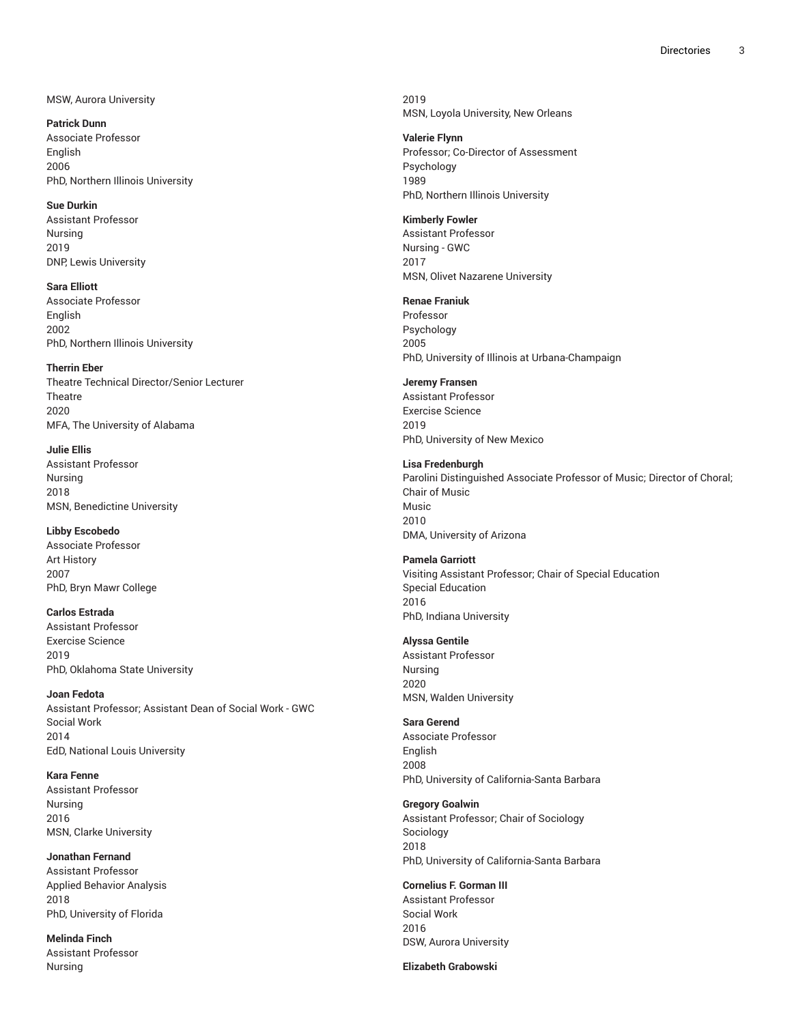# MSW, Aurora University

**Patrick Dunn** Associate Professor English 2006 PhD, Northern Illinois University

#### **Sue Durkin**

Assistant Professor Nursing 2019 DNP, Lewis University

**Sara Elliott** Associate Professor English 2002 PhD, Northern Illinois University

#### **Therrin Eber**

Theatre Technical Director/Senior Lecturer **Theatre** 2020 MFA, The University of Alabama

**Julie Ellis** Assistant Professor Nursing 2018 MSN, Benedictine University

# **Libby Escobedo**

Associate Professor Art History 2007 PhD, Bryn Mawr College

# **Carlos Estrada**

Assistant Professor Exercise Science 2019 PhD, Oklahoma State University

#### **Joan Fedota**

Assistant Professor; Assistant Dean of Social Work - GWC Social Work 2014 EdD, National Louis University

**Kara Fenne** Assistant Professor Nursing 2016 MSN, Clarke University

# **Jonathan Fernand**

Assistant Professor Applied Behavior Analysis 2018 PhD, University of Florida

**Melinda Finch** Assistant Professor Nursing

2019 MSN, Loyola University, New Orleans

#### **Valerie Flynn**

Professor; Co-Director of Assessment Psychology 1989 PhD, Northern Illinois University

# **Kimberly Fowler**

Assistant Professor Nursing - GWC 2017 MSN, Olivet Nazarene University

# **Renae Franiuk**

Professor Psychology 2005 PhD, University of Illinois at Urbana-Champaign

#### **Jeremy Fransen**

Assistant Professor Exercise Science 2019 PhD, University of New Mexico

#### **Lisa Fredenburgh**

Parolini Distinguished Associate Professor of Music; Director of Choral; Chair of Music Music 2010 DMA, University of Arizona

## **Pamela Garriott**

Visiting Assistant Professor; Chair of Special Education Special Education 2016 PhD, Indiana University

#### **Alyssa Gentile**

Assistant Professor Nursing 2020 MSN, Walden University

#### **Sara Gerend**

Associate Professor English 2008 PhD, University of California-Santa Barbara

#### **Gregory Goalwin**

Assistant Professor; Chair of Sociology Sociology 2018 PhD, University of California-Santa Barbara

# **Cornelius F. Gorman III**

Assistant Professor Social Work 2016 DSW, Aurora University

**Elizabeth Grabowski**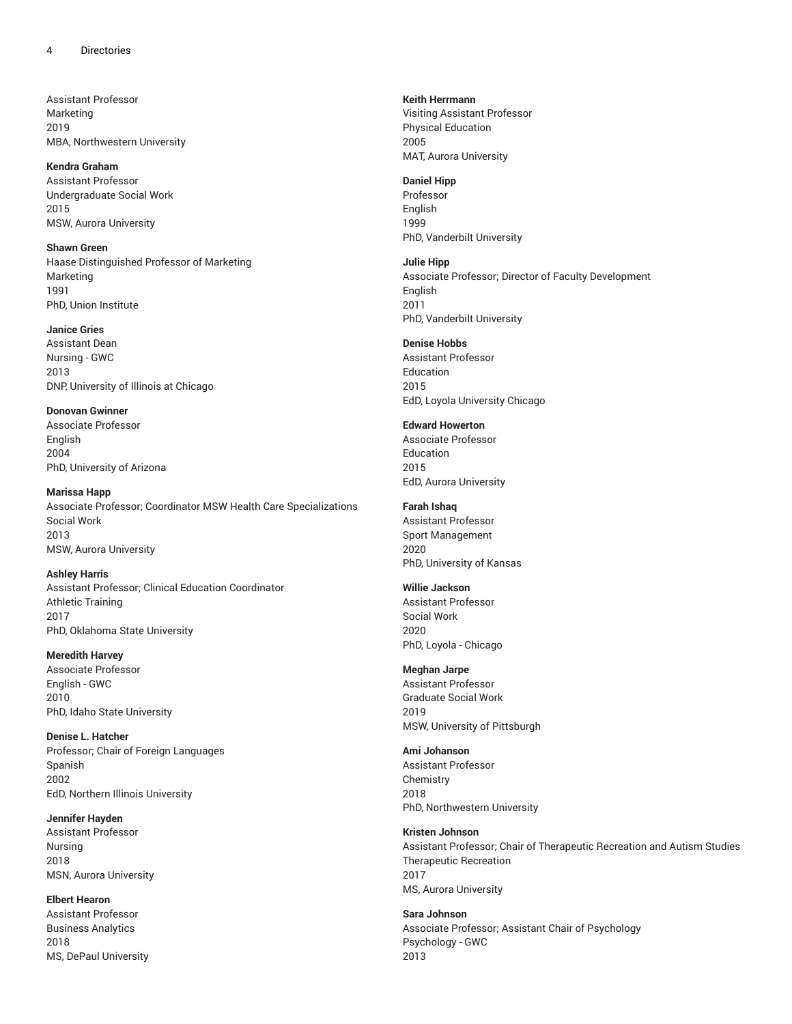Assistant Professor Marketing 2019 MBA, Northwestern University

#### **Kendra Graham**

Assistant Professor Undergraduate Social Work 2015 MSW, Aurora University

#### **Shawn Green**

Haase Distinguished Professor of Marketing Marketing 1991 PhD, Union Institute

#### **Janice Gries**

Assistant Dean Nursing - GWC 2013 DNP, University of Illinois at Chicago

# **Donovan Gwinner**

Associate Professor English 2004 PhD, University of Arizona

**Marissa Happ** Associate Professor; Coordinator MSW Health Care Specializations Social Work 2013 MSW, Aurora University

### **Ashley Harris**

Assistant Professor; Clinical Education Coordinator Athletic Training 2017 PhD, Oklahoma State University

# **Meredith Harvey**

Associate Professor English - GWC 2010 PhD, Idaho State University

#### **Denise L. Hatcher**

Professor; Chair of Foreign Languages Spanish 2002 EdD, Northern Illinois University

#### **Jennifer Hayden**

Assistant Professor Nursing 2018 MSN, Aurora University

# **Elbert Hearon**

Assistant Professor Business Analytics 2018 MS, DePaul University

#### **Keith Herrmann**

Visiting Assistant Professor Physical Education 2005 MAT, Aurora University

#### **Daniel Hipp**

Professor English 1999 PhD, Vanderbilt University

#### **Julie Hipp**

Associate Professor; Director of Faculty Development English 2011 PhD, Vanderbilt University

# **Denise Hobbs**

Assistant Professor Education 2015 EdD, Loyola University Chicago

#### **Edward Howerton**

Associate Professor Education 2015 EdD, Aurora University

#### **Farah Ishaq**

Assistant Professor Sport Management 2020 PhD, University of Kansas

# **Willie Jackson**

Assistant Professor Social Work 2020 PhD, Loyola - Chicago

# **Meghan Jarpe**

Assistant Professor Graduate Social Work 2019 MSW, University of Pittsburgh

#### **Ami Johanson**

Assistant Professor Chemistry 2018 PhD, Northwestern University

# **Kristen Johnson**

Assistant Professor; Chair of Therapeutic Recreation and Autism Studies Therapeutic Recreation 2017 MS, Aurora University

# **Sara Johnson** Associate Professor; Assistant Chair of Psychology Psychology - GWC

2013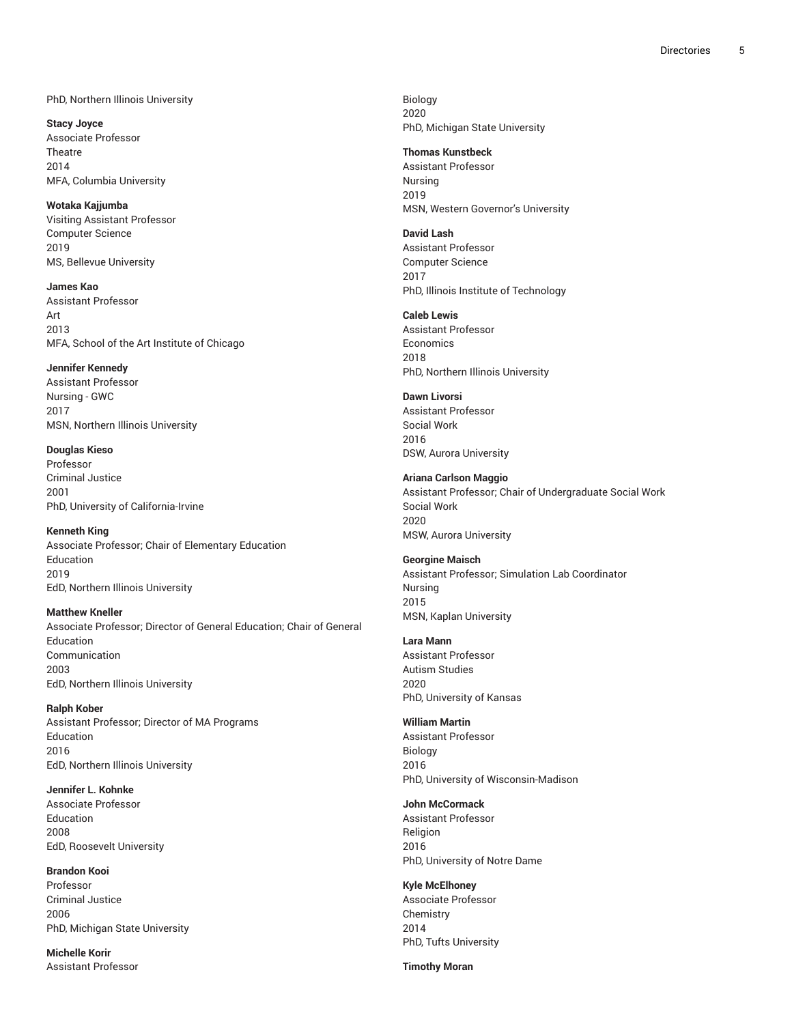# PhD, Northern Illinois University

**Stacy Joyce** Associate Professor Theatre 2014 MFA, Columbia University

### **Wotaka Kajjumba**

Visiting Assistant Professor Computer Science 2019 MS, Bellevue University

**James Kao** Assistant Professor Art 2013 MFA, School of the Art Institute of Chicago

#### **Jennifer Kennedy**

Assistant Professor Nursing - GWC 2017 MSN, Northern Illinois University

**Douglas Kieso** Professor Criminal Justice

2001 PhD, University of California-Irvine

#### **Kenneth King**

Associate Professor; Chair of Elementary Education Education 2019 EdD, Northern Illinois University

#### **Matthew Kneller**

Associate Professor; Director of General Education; Chair of General Education Communication 2003 EdD, Northern Illinois University

**Ralph Kober** Assistant Professor; Director of MA Programs Education 2016 EdD, Northern Illinois University

**Jennifer L. Kohnke** Associate Professor Education 2008 EdD, Roosevelt University

**Brandon Kooi** Professor Criminal Justice 2006 PhD, Michigan State University

**Michelle Korir** Assistant Professor

Biology 2020 PhD, Michigan State University

#### **Thomas Kunstbeck**

Assistant Professor Nursing 2019 MSN, Western Governor's University

#### **David Lash**

Assistant Professor Computer Science 2017 PhD, Illinois Institute of Technology

#### **Caleb Lewis**

Assistant Professor **Economics** 2018 PhD, Northern Illinois University

# **Dawn Livorsi**

Assistant Professor Social Work 2016 DSW, Aurora University

#### **Ariana Carlson Maggio**

Assistant Professor; Chair of Undergraduate Social Work Social Work 2020 MSW, Aurora University

#### **Georgine Maisch**

Assistant Professor; Simulation Lab Coordinator Nursing 2015 MSN, Kaplan University

#### **Lara Mann**

Assistant Professor Autism Studies 2020 PhD, University of Kansas

#### **William Martin**

Assistant Professor Biology 2016 PhD, University of Wisconsin-Madison

# **John McCormack**

Assistant Professor Religion 2016 PhD, University of Notre Dame

# **Kyle McElhoney**

Associate Professor Chemistry 2014 PhD, Tufts University

**Timothy Moran**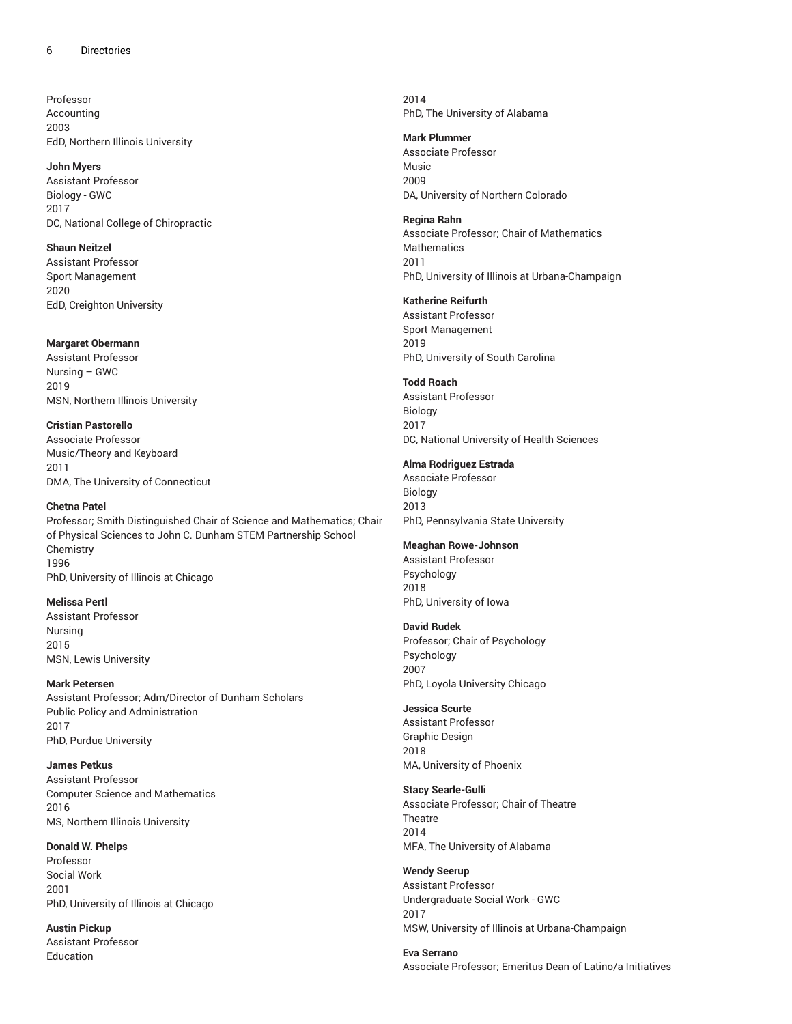Professor Accounting 2003 EdD, Northern Illinois University

#### **John Myers**

Assistant Professor Biology - GWC 2017 DC, National College of Chiropractic

#### **Shaun Neitzel**

Assistant Professor Sport Management 2020 EdD, Creighton University

#### **Margaret Obermann**

Assistant Professor Nursing – GWC 2019 MSN, Northern Illinois University

# **Cristian Pastorello**

Associate Professor Music/Theory and Keyboard 2011 DMA, The University of Connecticut

# **Chetna Patel**

Professor; Smith Distinguished Chair of Science and Mathematics; Chair of Physical Sciences to John C. Dunham STEM Partnership School **Chemistry** 1996 PhD, University of Illinois at Chicago

#### **Melissa Pertl**

Assistant Professor Nursing 2015 MSN, Lewis University

### **Mark Petersen**

Assistant Professor; Adm/Director of Dunham Scholars Public Policy and Administration 2017 PhD, Purdue University

### **James Petkus**

Assistant Professor Computer Science and Mathematics 2016 MS, Northern Illinois University

# **Donald W. Phelps**

Professor Social Work 2001 PhD, University of Illinois at Chicago

**Austin Pickup** Assistant Professor Education

2014 PhD, The University of Alabama

# **Mark Plummer**

Associate Professor Music 2009 DA, University of Northern Colorado

### **Regina Rahn**

Associate Professor; Chair of Mathematics Mathematics 2011 PhD, University of Illinois at Urbana-Champaign

# **Katherine Reifurth**

Assistant Professor Sport Management 2019 PhD, University of South Carolina

# **Todd Roach**

Assistant Professor Biology 2017 DC, National University of Health Sciences

# **Alma Rodriguez Estrada**

Associate Professor Biology 2013 PhD, Pennsylvania State University

# **Meaghan Rowe-Johnson**

Assistant Professor Psychology 2018 PhD, University of Iowa

#### **David Rudek**

Professor; Chair of Psychology Psychology 2007 PhD, Loyola University Chicago

# **Jessica Scurte**

Assistant Professor Graphic Design 2018 MA, University of Phoenix

# **Stacy Searle-Gulli**

Associate Professor; Chair of Theatre **Theatre** 2014 MFA, The University of Alabama

# **Wendy Seerup**

Assistant Professor Undergraduate Social Work - GWC 2017 MSW, University of Illinois at Urbana-Champaign

**Eva Serrano** Associate Professor; Emeritus Dean of Latino/a Initiatives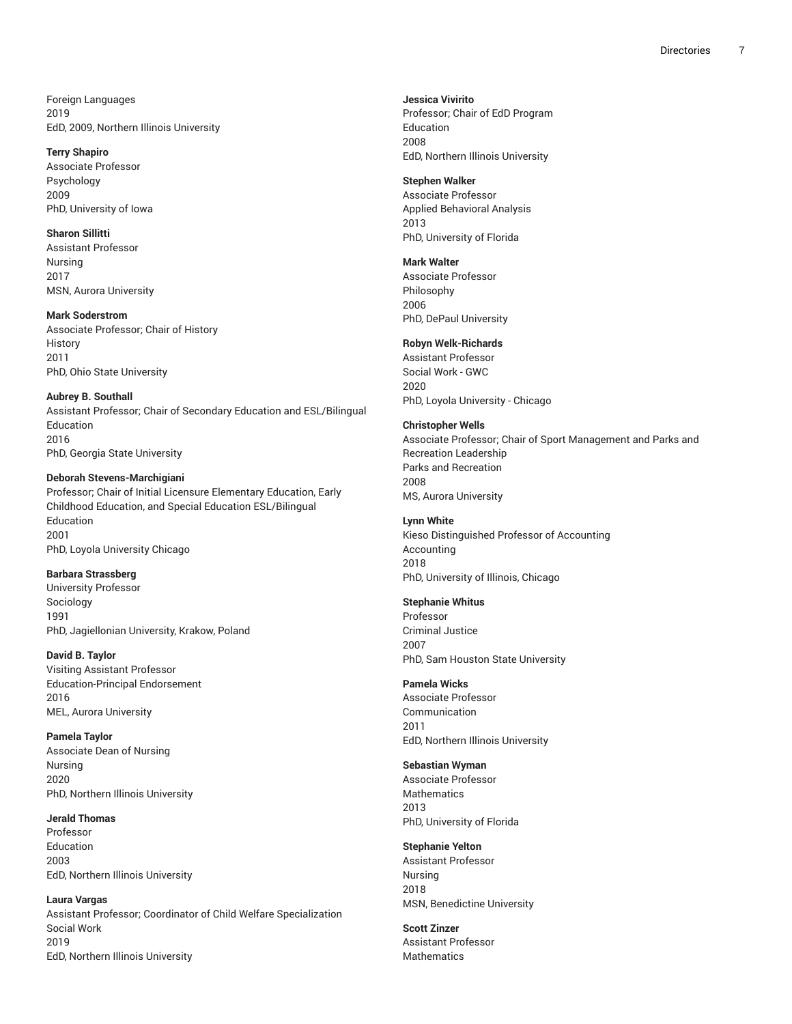Foreign Languages 2019 EdD, 2009, Northern Illinois University

#### **Terry Shapiro**

Associate Professor Psychology 2009 PhD, University of Iowa

# **Sharon Sillitti**

Assistant Professor Nursing 2017 MSN, Aurora University

### **Mark Soderstrom**

Associate Professor; Chair of History History 2011 PhD, Ohio State University

# **Aubrey B. Southall**

Assistant Professor; Chair of Secondary Education and ESL/Bilingual Education 2016 PhD, Georgia State University

# **Deborah Stevens-Marchigiani**

Professor; Chair of Initial Licensure Elementary Education, Early Childhood Education, and Special Education ESL/Bilingual Education 2001 PhD, Loyola University Chicago

# **Barbara Strassberg**

University Professor Sociology 1991 PhD, Jagiellonian University, Krakow, Poland

# **David B. Taylor**

Visiting Assistant Professor Education-Principal Endorsement 2016 MEL, Aurora University

#### **Pamela Taylor**

Associate Dean of Nursing Nursing 2020 PhD, Northern Illinois University

# **Jerald Thomas**

Professor Education 2003 EdD, Northern Illinois University

#### **Laura Vargas**

Assistant Professor; Coordinator of Child Welfare Specialization Social Work 2019 EdD, Northern Illinois University

**Jessica Vivirito**

Professor; Chair of EdD Program Education 2008 EdD, Northern Illinois University

### **Stephen Walker**

Associate Professor Applied Behavioral Analysis 2013 PhD, University of Florida

#### **Mark Walter**

Associate Professor Philosophy 2006 PhD, DePaul University

# **Robyn Welk-Richards**

Assistant Professor Social Work - GWC 2020 PhD, Loyola University - Chicago

### **Christopher Wells**

Associate Professor; Chair of Sport Management and Parks and Recreation Leadership Parks and Recreation 2008 MS, Aurora University

# **Lynn White** Kieso Distinguished Professor of Accounting Accounting 2018 PhD, University of Illinois, Chicago

#### **Stephanie Whitus**

Professor Criminal Justice 2007 PhD, Sam Houston State University

2011 EdD, Northern Illinois University

#### **Sebastian Wyman**

Associate Professor **Mathematics** 2013 PhD, University of Florida

# **Stephanie Yelton**

Assistant Professor Nursing 2018 MSN, Benedictine University

# **Scott Zinzer** Assistant Professor Mathematics

**Pamela Wicks** Associate Professor Communication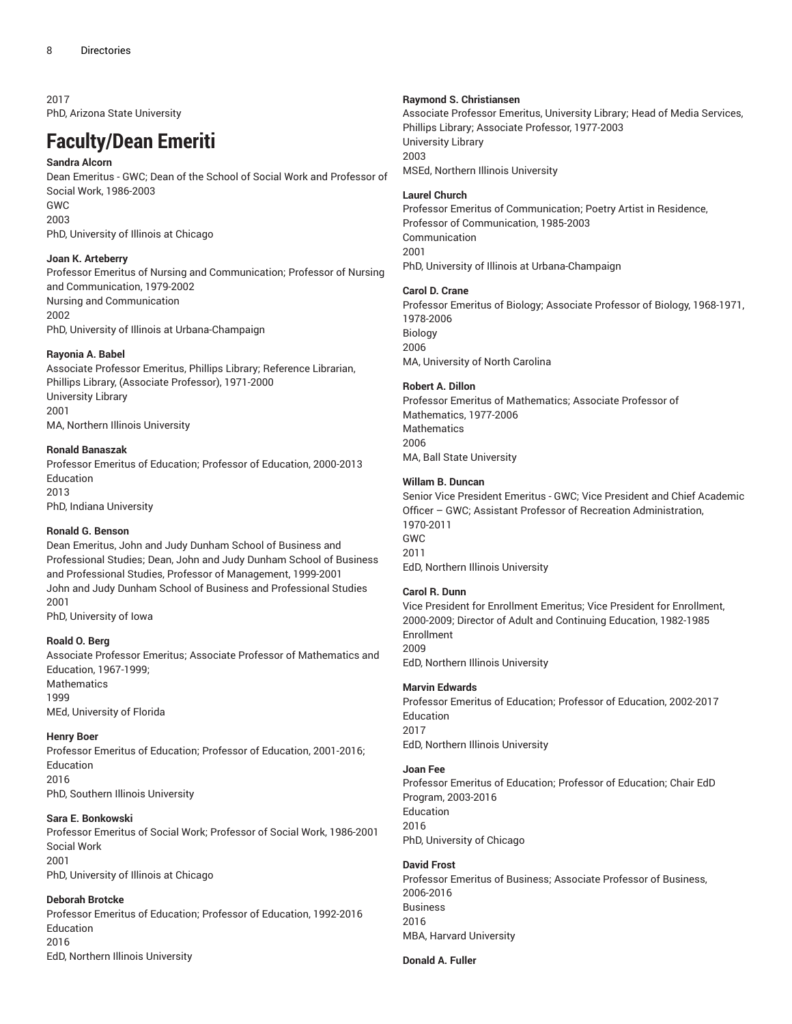2017 PhD, Arizona State University

# **Faculty/Dean Emeriti**

# **Sandra Alcorn**

Dean Emeritus - GWC; Dean of the School of Social Work and Professor of Social Work, 1986-2003 GWC 2003 PhD, University of Illinois at Chicago

# **Joan K. Arteberry**

Professor Emeritus of Nursing and Communication; Professor of Nursing and Communication, 1979-2002 Nursing and Communication 2002 PhD, University of Illinois at Urbana-Champaign

# **Rayonia A. Babel**

Associate Professor Emeritus, Phillips Library; Reference Librarian, Phillips Library, (Associate Professor), 1971-2000 University Library 2001 MA, Northern Illinois University

# **Ronald Banaszak**

Professor Emeritus of Education; Professor of Education, 2000-2013 Education

2013 PhD, Indiana University

# **Ronald G. Benson**

Dean Emeritus, John and Judy Dunham School of Business and Professional Studies; Dean, John and Judy Dunham School of Business and Professional Studies, Professor of Management, 1999-2001 John and Judy Dunham School of Business and Professional Studies 2001

PhD, University of Iowa

# **Roald O. Berg**

Associate Professor Emeritus; Associate Professor of Mathematics and Education, 1967-1999; Mathematics 1999 MEd, University of Florida

# **Henry Boer**

Professor Emeritus of Education; Professor of Education, 2001-2016; Education 2016 PhD, Southern Illinois University

# **Sara E. Bonkowski**

Professor Emeritus of Social Work; Professor of Social Work, 1986-2001 Social Work 2001 PhD, University of Illinois at Chicago

# **Deborah Brotcke**

Professor Emeritus of Education; Professor of Education, 1992-2016 Education 2016 EdD, Northern Illinois University

# **Raymond S. Christiansen**

Associate Professor Emeritus, University Library; Head of Media Services, Phillips Library; Associate Professor, 1977-2003 University Library 2003 MSEd, Northern Illinois University

# **Laurel Church**

Professor Emeritus of Communication; Poetry Artist in Residence, Professor of Communication, 1985-2003 Communication 2001 PhD, University of Illinois at Urbana-Champaign

# **Carol D. Crane**

Professor Emeritus of Biology; Associate Professor of Biology, 1968-1971, 1978-2006 Biology 2006 MA, University of North Carolina

# **Robert A. Dillon**

Professor Emeritus of Mathematics; Associate Professor of Mathematics, 1977-2006 **Mathematics** 2006 MA, Ball State University

# **Willam B. Duncan**

Senior Vice President Emeritus - GWC; Vice President and Chief Academic Officer – GWC; Assistant Professor of Recreation Administration, 1970-2011 GWC 2011 EdD, Northern Illinois University

# **Carol R. Dunn**

Vice President for Enrollment Emeritus; Vice President for Enrollment, 2000-2009; Director of Adult and Continuing Education, 1982-1985 Enrollment 2009 EdD, Northern Illinois University

# **Marvin Edwards**

Professor Emeritus of Education; Professor of Education, 2002-2017 Education 2017 EdD, Northern Illinois University

# **Joan Fee**

Professor Emeritus of Education; Professor of Education; Chair EdD Program, 2003-2016 Education 2016 PhD, University of Chicago

# **David Frost**

Professor Emeritus of Business; Associate Professor of Business, 2006-2016 Business 2016 MBA, Harvard University

# **Donald A. Fuller**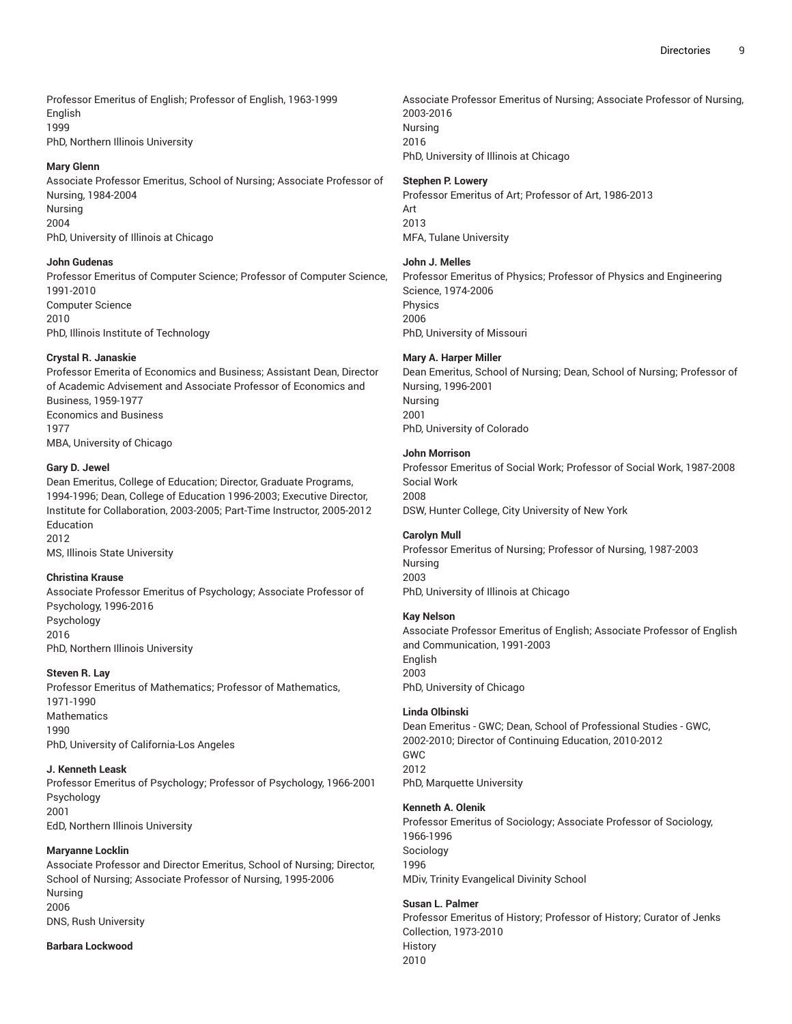Professor Emeritus of English; Professor of English, 1963-1999 English 1999 PhD, Northern Illinois University

#### **Mary Glenn**

Associate Professor Emeritus, School of Nursing; Associate Professor of Nursing, 1984-2004 Nursing 2004 PhD, University of Illinois at Chicago

#### **John Gudenas**

Professor Emeritus of Computer Science; Professor of Computer Science, 1991-2010 Computer Science 2010 PhD, Illinois Institute of Technology

#### **Crystal R. Janaskie**

Professor Emerita of Economics and Business; Assistant Dean, Director of Academic Advisement and Associate Professor of Economics and Business, 1959-1977 Economics and Business 1977 MBA, University of Chicago

# **Gary D. Jewel**

Dean Emeritus, College of Education; Director, Graduate Programs, 1994-1996; Dean, College of Education 1996-2003; Executive Director, Institute for Collaboration, 2003-2005; Part-Time Instructor, 2005-2012 Education 2012

MS, Illinois State University

# **Christina Krause**

Associate Professor Emeritus of Psychology; Associate Professor of Psychology, 1996-2016 Psychology 2016 PhD, Northern Illinois University

# **Steven R. Lay**

Professor Emeritus of Mathematics; Professor of Mathematics, 1971-1990 **Mathematics** 1990 PhD, University of California-Los Angeles

# **J. Kenneth Leask**

Professor Emeritus of Psychology; Professor of Psychology, 1966-2001 Psychology 2001 EdD, Northern Illinois University

# **Maryanne Locklin**

Associate Professor and Director Emeritus, School of Nursing; Director, School of Nursing; Associate Professor of Nursing, 1995-2006 Nursing 2006 DNS, Rush University

#### **Barbara Lockwood**

Associate Professor Emeritus of Nursing; Associate Professor of Nursing, 2003-2016 Nursing 2016 PhD, University of Illinois at Chicago

#### **Stephen P. Lowery**

Professor Emeritus of Art; Professor of Art, 1986-2013 Art 2013 MFA, Tulane University

#### **John J. Melles**

Professor Emeritus of Physics; Professor of Physics and Engineering Science, 1974-2006 Physics 2006 PhD, University of Missouri

#### **Mary A. Harper Miller**

Dean Emeritus, School of Nursing; Dean, School of Nursing; Professor of Nursing, 1996-2001 Nursing 2001 PhD, University of Colorado

#### **John Morrison**

Professor Emeritus of Social Work; Professor of Social Work, 1987-2008 Social Work 2008 DSW, Hunter College, City University of New York

#### **Carolyn Mull**

Professor Emeritus of Nursing; Professor of Nursing, 1987-2003 Nursing 2003 PhD, University of Illinois at Chicago

#### **Kay Nelson**

Associate Professor Emeritus of English; Associate Professor of English and Communication, 1991-2003 English 2003 PhD, University of Chicago

# **Linda Olbinski**

Dean Emeritus - GWC; Dean, School of Professional Studies - GWC, 2002-2010; Director of Continuing Education, 2010-2012 GWC 2012 PhD, Marquette University

# **Kenneth A. Olenik**

Professor Emeritus of Sociology; Associate Professor of Sociology, 1966-1996 Sociology 1996 MDiv, Trinity Evangelical Divinity School

# **Susan L. Palmer**

Professor Emeritus of History; Professor of History; Curator of Jenks Collection, 1973-2010 **History** 2010